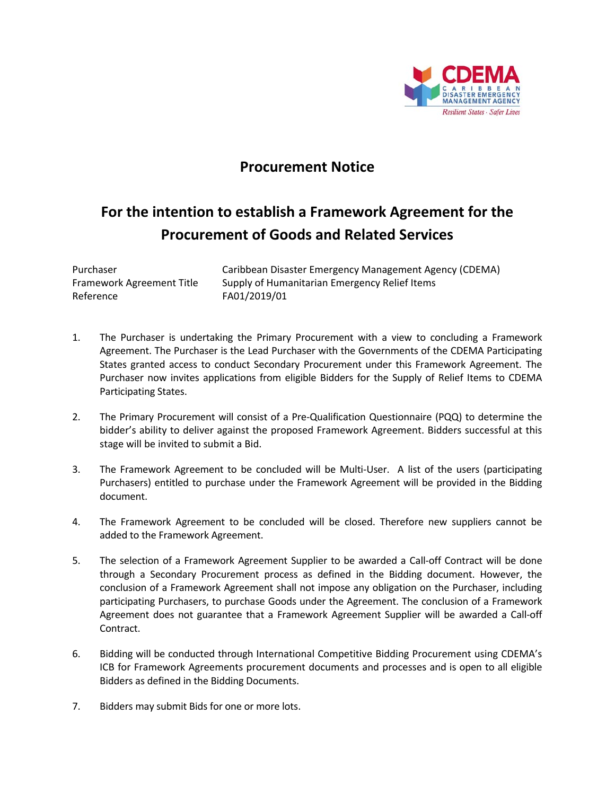

## **Procurement Notice**

## **For the intention to establish a Framework Agreement for the Procurement of Goods and Related Services**

Reference FA01/2019/01

Purchaser **Caribbean Disaster Emergency Management Agency (CDEMA)** Framework Agreement Title Supply of Humanitarian Emergency Relief Items

- 1. The Purchaser is undertaking the Primary Procurement with a view to concluding a Framework Agreement. The Purchaser is the Lead Purchaser with the Governments of the CDEMA Participating States granted access to conduct Secondary Procurement under this Framework Agreement. The Purchaser now invites applications from eligible Bidders for the Supply of Relief Items to CDEMA Participating States.
- 2. The Primary Procurement will consist of a Pre-Qualification Questionnaire (PQQ) to determine the bidder's ability to deliver against the proposed Framework Agreement. Bidders successful at this stage will be invited to submit a Bid.
- 3. The Framework Agreement to be concluded will be Multi-User. A list of the users (participating Purchasers) entitled to purchase under the Framework Agreement will be provided in the Bidding document.
- 4. The Framework Agreement to be concluded will be closed. Therefore new suppliers cannot be added to the Framework Agreement.
- 5. The selection of a Framework Agreement Supplier to be awarded a Call-off Contract will be done through a Secondary Procurement process as defined in the Bidding document. However, the conclusion of a Framework Agreement shall not impose any obligation on the Purchaser, including participating Purchasers, to purchase Goods under the Agreement. The conclusion of a Framework Agreement does not guarantee that a Framework Agreement Supplier will be awarded a Call‐off Contract.
- 6. Bidding will be conducted through International Competitive Bidding Procurement using CDEMA's ICB for Framework Agreements procurement documents and processes and is open to all eligible Bidders as defined in the Bidding Documents.
- 7. Bidders may submit Bids for one or more lots.